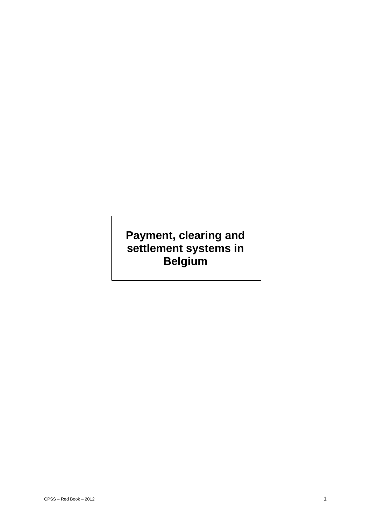# **Payment, clearing and settlement systems in Belgium**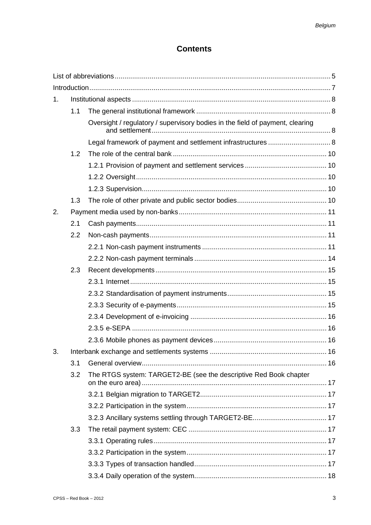## **Contents**

| 1. |     |                                                                               |  |  |  |  |
|----|-----|-------------------------------------------------------------------------------|--|--|--|--|
|    | 1.1 |                                                                               |  |  |  |  |
|    |     | Oversight / regulatory / supervisory bodies in the field of payment, clearing |  |  |  |  |
|    |     | Legal framework of payment and settlement infrastructures  8                  |  |  |  |  |
|    | 1.2 |                                                                               |  |  |  |  |
|    |     |                                                                               |  |  |  |  |
|    |     |                                                                               |  |  |  |  |
|    |     |                                                                               |  |  |  |  |
|    | 1.3 |                                                                               |  |  |  |  |
| 2. |     |                                                                               |  |  |  |  |
|    | 2.1 |                                                                               |  |  |  |  |
|    | 2.2 |                                                                               |  |  |  |  |
|    |     |                                                                               |  |  |  |  |
|    |     |                                                                               |  |  |  |  |
|    | 2.3 |                                                                               |  |  |  |  |
|    |     |                                                                               |  |  |  |  |
|    |     |                                                                               |  |  |  |  |
|    |     |                                                                               |  |  |  |  |
|    |     |                                                                               |  |  |  |  |
|    |     |                                                                               |  |  |  |  |
|    |     |                                                                               |  |  |  |  |
| 3. |     |                                                                               |  |  |  |  |
|    | 3.1 |                                                                               |  |  |  |  |
|    | 3.2 | The RTGS system: TARGET2-BE (see the descriptive Red Book chapter             |  |  |  |  |
|    |     |                                                                               |  |  |  |  |
|    |     |                                                                               |  |  |  |  |
|    |     |                                                                               |  |  |  |  |
|    | 3.3 |                                                                               |  |  |  |  |
|    |     |                                                                               |  |  |  |  |
|    |     |                                                                               |  |  |  |  |
|    |     |                                                                               |  |  |  |  |
|    |     |                                                                               |  |  |  |  |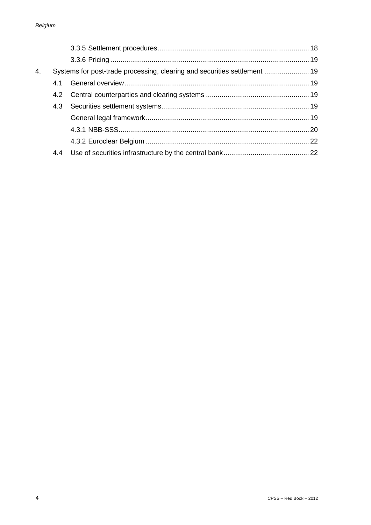| 4. |     |  |
|----|-----|--|
|    | 4.1 |  |
|    |     |  |
|    |     |  |
|    |     |  |
|    |     |  |
|    |     |  |
|    | 4.4 |  |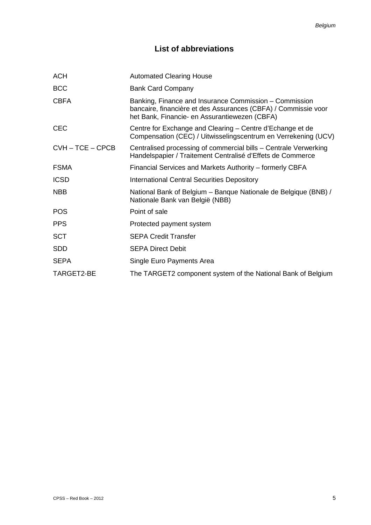## **List of abbreviations**

| <b>ACH</b>         | <b>Automated Clearing House</b>                                                                                                                                           |  |  |
|--------------------|---------------------------------------------------------------------------------------------------------------------------------------------------------------------------|--|--|
| <b>BCC</b>         | <b>Bank Card Company</b>                                                                                                                                                  |  |  |
| <b>CBFA</b>        | Banking, Finance and Insurance Commission – Commission<br>bancaire, financière et des Assurances (CBFA) / Commissie voor<br>het Bank, Financie- en Assurantiewezen (CBFA) |  |  |
| <b>CEC</b>         | Centre for Exchange and Clearing – Centre d'Echange et de<br>Compensation (CEC) / Uitwisselingscentrum en Verrekening (UCV)                                               |  |  |
| $CVH - TCE - CPCB$ | Centralised processing of commercial bills – Centrale Verwerking<br>Handelspapier / Traitement Centralisé d'Effets de Commerce                                            |  |  |
| <b>FSMA</b>        | Financial Services and Markets Authority – formerly CBFA                                                                                                                  |  |  |
| <b>ICSD</b>        | <b>International Central Securities Depository</b>                                                                                                                        |  |  |
| <b>NBB</b>         | National Bank of Belgium - Banque Nationale de Belgique (BNB) /<br>Nationale Bank van België (NBB)                                                                        |  |  |
| <b>POS</b>         | Point of sale                                                                                                                                                             |  |  |
| <b>PPS</b>         | Protected payment system                                                                                                                                                  |  |  |
| <b>SCT</b>         | <b>SEPA Credit Transfer</b>                                                                                                                                               |  |  |
| <b>SDD</b>         | <b>SEPA Direct Debit</b>                                                                                                                                                  |  |  |
| <b>SEPA</b>        | Single Euro Payments Area                                                                                                                                                 |  |  |
| TARGET2-BE         | The TARGET2 component system of the National Bank of Belgium                                                                                                              |  |  |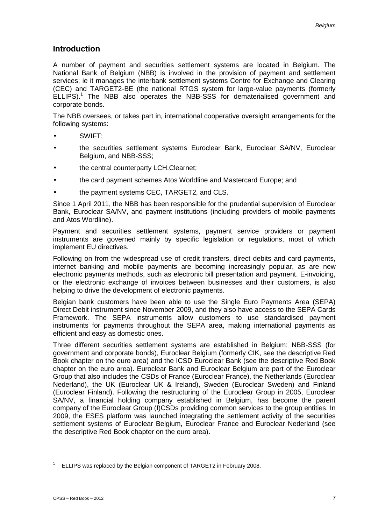## **Introduction**

A number of payment and securities settlement systems are located in Belgium. The National Bank of Belgium (NBB) is involved in the provision of payment and settlement services; ie it manages the interbank settlement systems Centre for Exchange and Clearing (CEC) and TARGET2-BE (the national RTGS system for large-value payments (formerly ELLIPS).<sup>1</sup> The NBB also operates the NBB-SSS for dematerialised government and corporate bonds.

The NBB oversees, or takes part in, international cooperative oversight arrangements for the following systems:

- SWIFT;
- the securities settlement systems Euroclear Bank, Euroclear SA/NV, Euroclear Belgium, and NBB-SSS;
- the central counterparty LCH.Clearnet;
- the card payment schemes Atos Worldline and Mastercard Europe; and
- the payment systems CEC, TARGET2, and CLS.

Since 1 April 2011, the NBB has been responsible for the prudential supervision of Euroclear Bank, Euroclear SA/NV, and payment institutions (including providers of mobile payments and Atos Wordline).

Payment and securities settlement systems, payment service providers or payment instruments are governed mainly by specific legislation or regulations, most of which implement EU directives.

Following on from the widespread use of credit transfers, direct debits and card payments, internet banking and mobile payments are becoming increasingly popular, as are new electronic payments methods, such as electronic bill presentation and payment. E-invoicing, or the electronic exchange of invoices between businesses and their customers, is also helping to drive the development of electronic payments.

Belgian bank customers have been able to use the Single Euro Payments Area (SEPA) Direct Debit instrument since November 2009, and they also have access to the SEPA Cards Framework. The SEPA instruments allow customers to use standardised payment instruments for payments throughout the SEPA area, making international payments as efficient and easy as domestic ones.

Three different securities settlement systems are established in Belgium: NBB-SSS (for government and corporate bonds), Euroclear Belgium (formerly CIK, see the descriptive Red Book chapter on the euro area) and the ICSD Euroclear Bank (see the descriptive Red Book chapter on the euro area). Euroclear Bank and Euroclear Belgium are part of the Euroclear Group that also includes the CSDs of France (Euroclear France), the Netherlands (Euroclear Nederland), the UK (Euroclear UK & Ireland), Sweden (Euroclear Sweden) and Finland (Euroclear Finland). Following the restructuring of the Euroclear Group in 2005, Euroclear SA/NV, a financial holding company established in Belgium, has become the parent company of the Euroclear Group (I)CSDs providing common services to the group entities. In 2009, the ESES platform was launched integrating the settlement activity of the securities settlement systems of Euroclear Belgium, Euroclear France and Euroclear Nederland (see the descriptive Red Book chapter on the euro area).

-

 $1$  ELLIPS was replaced by the Belgian component of TARGET2 in February 2008.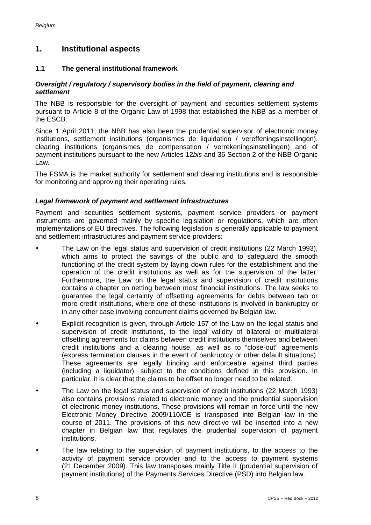## **1. Institutional aspects**

## **1.1 The general institutional framework**

#### *Oversight / regulatory / supervisory bodies in the field of payment, clearing and settlement*

The NBB is responsible for the oversight of payment and securities settlement systems pursuant to Article 8 of the Organic Law of 1998 that established the NBB as a member of the ESCB.

Since 1 April 2011, the NBB has also been the prudential supervisor of electronic money institutions, settlement institutions (organismes de liquidation / vereffeningsinstellingen), clearing institutions (organismes de compensation / verrekeningsinstellingen) and of payment institutions pursuant to the new Articles 12*bis* and 36 Section 2 of the NBB Organic Law.

The FSMA is the market authority for settlement and clearing institutions and is responsible for monitoring and approving their operating rules.

### *Legal framework of payment and settlement infrastructures*

Payment and securities settlement systems, payment service providers or payment instruments are governed mainly by specific legislation or regulations, which are often implementations of EU directives. The following legislation is generally applicable to payment and settlement infrastructures and payment service providers:

- The Law on the legal status and supervision of credit institutions (22 March 1993), which aims to protect the savings of the public and to safeguard the smooth functioning of the credit system by laying down rules for the establishment and the operation of the credit institutions as well as for the supervision of the latter. Furthermore, the Law on the legal status and supervision of credit institutions contains a chapter on netting between most financial institutions. The law seeks to guarantee the legal certainty of offsetting agreements for debts between two or more credit institutions, where one of these institutions is involved in bankruptcy or in any other case involving concurrent claims governed by Belgian law.
- Explicit recognition is given, through Article 157 of the Law on the legal status and supervision of credit institutions, to the legal validity of bilateral or multilateral offsetting agreements for claims between credit institutions themselves and between credit institutions and a clearing house, as well as to "close-out" agreements (express termination clauses in the event of bankruptcy or other default situations). These agreements are legally binding and enforceable against third parties (including a liquidator), subject to the conditions defined in this provision. In particular, it is clear that the claims to be offset no longer need to be related.
- The Law on the legal status and supervision of credit institutions (22 March 1993) also contains provisions related to electronic money and the prudential supervision of electronic money institutions. These provisions will remain in force until the new Electronic Money Directive 2009/110/CE is transposed into Belgian law in the course of 2011. The provisions of this new directive will be inserted into a new chapter in Belgian law that regulates the prudential supervision of payment institutions.
- The law relating to the supervision of payment institutions, to the access to the activity of payment service provider and to the access to payment systems (21 December 2009). This law transposes mainly Title II (prudential supervision of payment institutions) of the Payments Services Directive (PSD) into Belgian law.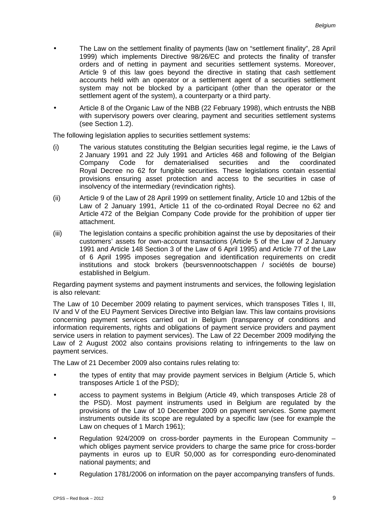- The Law on the settlement finality of payments (law on "settlement finality", 28 April 1999) which implements Directive 98/26/EC and protects the finality of transfer orders and of netting in payment and securities settlement systems. Moreover, Article 9 of this law goes beyond the directive in stating that cash settlement accounts held with an operator or a settlement agent of a securities settlement system may not be blocked by a participant (other than the operator or the settlement agent of the system), a counterparty or a third party.
- Article 8 of the Organic Law of the NBB (22 February 1998), which entrusts the NBB with supervisory powers over clearing, payment and securities settlement systems (see Section 1.2).

The following legislation applies to securities settlement systems:

- (i) The various statutes constituting the Belgian securities legal regime, ie the Laws of 2 January 1991 and 22 July 1991 and Articles 468 and following of the Belgian dematerialised Royal Decree no 62 for fungible securities. These legislations contain essential provisions ensuring asset protection and access to the securities in case of insolvency of the intermediary (revindication rights).
- (ii) Article 9 of the Law of 28 April 1999 on settlement finality, Article 10 and 12bis of the Law of 2 January 1991, Article 11 of the co-ordinated Royal Decree no 62 and Article 472 of the Belgian Company Code provide for the prohibition of upper tier attachment.
- (iii) The legislation contains a specific prohibition against the use by depositaries of their customers' assets for own-account transactions (Article 5 of the Law of 2 January 1991 and Article 148 Section 3 of the Law of 6 April 1995) and Article 77 of the Law of 6 April 1995 imposes segregation and identification requirements on credit institutions and stock brokers (beursvennootschappen / sociétés de bourse) established in Belgium.

Regarding payment systems and payment instruments and services, the following legislation is also relevant:

The Law of 10 December 2009 relating to payment services, which transposes Titles I, III, IV and V of the EU Payment Services Directive into Belgian law. This law contains provisions concerning payment services carried out in Belgium (transparency of conditions and information requirements, rights and obligations of payment service providers and payment service users in relation to payment services). The Law of 22 December 2009 modifying the Law of 2 August 2002 also contains provisions relating to infringements to the law on payment services.

The Law of 21 December 2009 also contains rules relating to:

- the types of entity that may provide payment services in Belgium (Article 5, which transposes Article 1 of the PSD);
- access to payment systems in Belgium (Article 49, which transposes Article 28 of the PSD). Most payment instruments used in Belgium are regulated by the provisions of the Law of 10 December 2009 on payment services. Some payment instruments outside its scope are regulated by a specific law (see for example the Law on cheques of 1 March 1961);
- Regulation 924/2009 on cross-border payments in the European Community which obliges payment service providers to charge the same price for cross-border payments in euros up to EUR 50,000 as for corresponding euro-denominated national payments; and
- Regulation 1781/2006 on information on the payer accompanying transfers of funds.

L.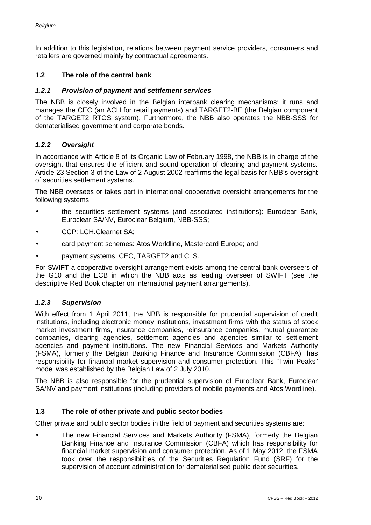In addition to this legislation, relations between payment service providers, consumers and retailers are governed mainly by contractual agreements.

## **1.2 The role of the central bank**

### *1.2.1 Provision of payment and settlement services*

The NBB is closely involved in the Belgian interbank clearing mechanisms: it runs and manages the CEC (an ACH for retail payments) and TARGET2-BE (the Belgian component of the TARGET2 RTGS system). Furthermore, the NBB also operates the NBB-SSS for dematerialised government and corporate bonds.

### *1.2.2 Oversight*

In accordance with Article 8 of its Organic Law of February 1998, the NBB is in charge of the oversight that ensures the efficient and sound operation of clearing and payment systems. Article 23 Section 3 of the Law of 2 August 2002 reaffirms the legal basis for NBB's oversight of securities settlement systems.

The NBB oversees or takes part in international cooperative oversight arrangements for the following systems:

- the securities settlement systems (and associated institutions): Euroclear Bank, Euroclear SA/NV, Euroclear Belgium, NBB-SSS;
- CCP: LCH.Clearnet SA;
- card payment schemes: Atos Worldline, Mastercard Europe; and
- payment systems: CEC, TARGET2 and CLS.

For SWIFT a cooperative oversight arrangement exists among the central bank overseers of the G10 and the ECB in which the NBB acts as leading overseer of SWIFT (see the descriptive Red Book chapter on international payment arrangements).

### *1.2.3 Supervision*

With effect from 1 April 2011, the NBB is responsible for prudential supervision of credit institutions, including electronic money institutions, investment firms with the status of stock market investment firms, insurance companies, reinsurance companies, mutual guarantee companies, clearing agencies, settlement agencies and agencies similar to settlement agencies and payment institutions. The new Financial Services and Markets Authority (FSMA), formerly the Belgian Banking Finance and Insurance Commission (CBFA), has responsibility for financial market supervision and consumer protection. This "Twin Peaks" model was established by the Belgian Law of 2 July 2010.

The NBB is also responsible for the prudential supervision of Euroclear Bank, Euroclear SA/NV and payment institutions (including providers of mobile payments and Atos Wordline).

### **1.3 The role of other private and public sector bodies**

Other private and public sector bodies in the field of payment and securities systems are:

The new Financial Services and Markets Authority (FSMA), formerly the Belgian Banking Finance and Insurance Commission (CBFA) which has responsibility for financial market supervision and consumer protection. As of 1 May 2012, the FSMA took over the responsibilities of the Securities Regulation Fund (SRF) for the supervision of account administration for dematerialised public debt securities.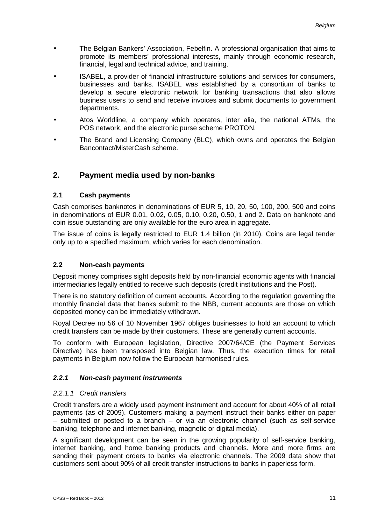- The Belgian Bankers' Association, Febelfin. A professional organisation that aims to promote its members' professional interests, mainly through economic research, financial, legal and technical advice, and training.
- ISABEL, a provider of financial infrastructure solutions and services for consumers, businesses and banks. ISABEL was established by a consortium of banks to develop a secure electronic network for banking transactions that also allows business users to send and receive invoices and submit documents to government departments.
- Atos Worldline, a company which operates, inter alia, the national ATMs, the l. POS network, and the electronic purse scheme PROTON.
- The Brand and Licensing Company (BLC), which owns and operates the Belgian Bancontact/MisterCash scheme.

## **2. Payment media used by non-banks**

## **2.1 Cash payments**

Cash comprises banknotes in denominations of EUR 5, 10, 20, 50, 100, 200, 500 and coins in denominations of EUR 0.01, 0.02, 0.05, 0.10, 0.20, 0.50, 1 and 2. Data on banknote and coin issue outstanding are only available for the euro area in aggregate.

The issue of coins is legally restricted to EUR 1.4 billion (in 2010). Coins are legal tender only up to a specified maximum, which varies for each denomination.

## **2.2 Non-cash payments**

Deposit money comprises sight deposits held by non-financial economic agents with financial intermediaries legally entitled to receive such deposits (credit institutions and the Post).

There is no statutory definition of current accounts. According to the regulation governing the monthly financial data that banks submit to the NBB, current accounts are those on which deposited money can be immediately withdrawn.

Royal Decree no 56 of 10 November 1967 obliges businesses to hold an account to which credit transfers can be made by their customers. These are generally current accounts.

To conform with European legislation, Directive 2007/64/CE (the Payment Services Directive) has been transposed into Belgian law. Thus, the execution times for retail payments in Belgium now follow the European harmonised rules.

### *2.2.1 Non-cash payment instruments*

### *2.2.1.1 Credit transfers*

Credit transfers are a widely used payment instrument and account for about 40% of all retail payments (as of 2009). Customers making a payment instruct their banks either on paper – submitted or posted to a branch – or via an electronic channel (such as self-service banking, telephone and internet banking, magnetic or digital media).

A significant development can be seen in the growing popularity of self-service banking, internet banking, and home banking products and channels. More and more firms are sending their payment orders to banks via electronic channels. The 2009 data show that customers sent about 90% of all credit transfer instructions to banks in paperless form.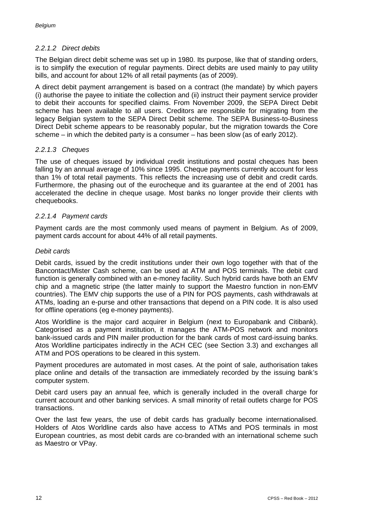## *2.2.1.2 Direct debits*

The Belgian direct debit scheme was set up in 1980. Its purpose, like that of standing orders, is to simplify the execution of regular payments. Direct debits are used mainly to pay utility bills, and account for about 12% of all retail payments (as of 2009).

A direct debit payment arrangement is based on a contract (the mandate) by which payers (i) authorise the payee to initiate the collection and (ii) instruct their payment service provider to debit their accounts for specified claims. From November 2009, the SEPA Direct Debit scheme has been available to all users. Creditors are responsible for migrating from the legacy Belgian system to the SEPA Direct Debit scheme. The SEPA Business-to-Business Direct Debit scheme appears to be reasonably popular, but the migration towards the Core scheme – in which the debited party is a consumer – has been slow (as of early 2012).

## *2.2.1.3 Cheques*

The use of cheques issued by individual credit institutions and postal cheques has been falling by an annual average of 10% since 1995. Cheque payments currently account for less than 1% of total retail payments. This reflects the increasing use of debit and credit cards. Furthermore, the phasing out of the eurocheque and its guarantee at the end of 2001 has accelerated the decline in cheque usage. Most banks no longer provide their clients with chequebooks.

## *2.2.1.4 Payment cards*

Payment cards are the most commonly used means of payment in Belgium. As of 2009, payment cards account for about 44% of all retail payments.

### *Debit cards*

Debit cards, issued by the credit institutions under their own logo together with that of the Bancontact/Mister Cash scheme, can be used at ATM and POS terminals. The debit card function is generally combined with an e-money facility. Such hybrid cards have both an EMV chip and a magnetic stripe (the latter mainly to support the Maestro function in non-EMV countries). The EMV chip supports the use of a PIN for POS payments, cash withdrawals at ATMs, loading an e-purse and other transactions that depend on a PIN code. It is also used for offline operations (eg e-money payments).

Atos Worldline is the major card acquirer in Belgium (next to Europabank and Citibank). Categorised as a payment institution, it manages the ATM-POS network and monitors bank-issued cards and PIN mailer production for the bank cards of most card-issuing banks. Atos Worldline participates indirectly in the ACH CEC (see Section 3.3) and exchanges all ATM and POS operations to be cleared in this system.

Payment procedures are automated in most cases. At the point of sale, authorisation takes place online and details of the transaction are immediately recorded by the issuing bank's computer system.

Debit card users pay an annual fee, which is generally included in the overall charge for current account and other banking services. A small minority of retail outlets charge for POS transactions.

Over the last few years, the use of debit cards has gradually become internationalised. Holders of Atos Worldline cards also have access to ATMs and POS terminals in most European countries, as most debit cards are co-branded with an international scheme such as Maestro or VPay.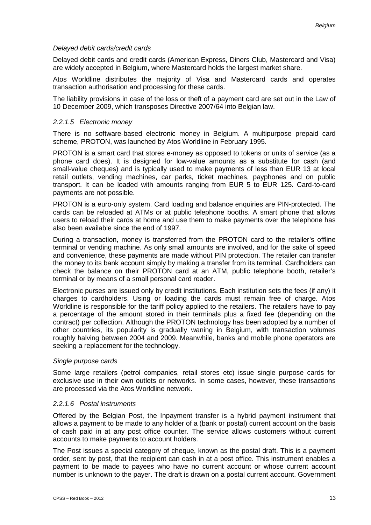#### *Delayed debit cards/credit cards*

Delayed debit cards and credit cards (American Express, Diners Club, Mastercard and Visa) are widely accepted in Belgium, where Mastercard holds the largest market share.

Atos Worldline distributes the majority of Visa and Mastercard cards and operates transaction authorisation and processing for these cards.

The liability provisions in case of the loss or theft of a payment card are set out in the Law of 10 December 2009, which transposes Directive 2007/64 into Belgian law.

#### *2.2.1.5 Electronic money*

There is no software-based electronic money in Belgium. A multipurpose prepaid card scheme, PROTON, was launched by Atos Worldline in February 1995.

PROTON is a smart card that stores e-money as opposed to tokens or units of service (as a phone card does). It is designed for low-value amounts as a substitute for cash (and small-value cheques) and is typically used to make payments of less than EUR 13 at local retail outlets, vending machines, car parks, ticket machines, payphones and on public transport. It can be loaded with amounts ranging from EUR 5 to EUR 125. Card-to-card payments are not possible.

PROTON is a euro-only system. Card loading and balance enquiries are PIN-protected. The cards can be reloaded at ATMs or at public telephone booths. A smart phone that allows users to reload their cards at home and use them to make payments over the telephone has also been available since the end of 1997.

During a transaction, money is transferred from the PROTON card to the retailer's offline terminal or vending machine. As only small amounts are involved, and for the sake of speed and convenience, these payments are made without PIN protection. The retailer can transfer the money to its bank account simply by making a transfer from its terminal. Cardholders can check the balance on their PROTON card at an ATM, public telephone booth, retailer's terminal or by means of a small personal card reader.

Electronic purses are issued only by credit institutions. Each institution sets the fees (if any) it charges to cardholders. Using or loading the cards must remain free of charge. Atos Worldline is responsible for the tariff policy applied to the retailers. The retailers have to pay a percentage of the amount stored in their terminals plus a fixed fee (depending on the contract) per collection. Although the PROTON technology has been adopted by a number of other countries, its popularity is gradually waning in Belgium, with transaction volumes roughly halving between 2004 and 2009. Meanwhile, banks and mobile phone operators are seeking a replacement for the technology.

#### *Single purpose cards*

Some large retailers (petrol companies, retail stores etc) issue single purpose cards for exclusive use in their own outlets or networks. In some cases, however, these transactions are processed via the Atos Worldline network.

#### *2.2.1.6 Postal instruments*

Offered by the Belgian Post, the Inpayment transfer is a hybrid payment instrument that allows a payment to be made to any holder of a (bank or postal) current account on the basis of cash paid in at any post office counter. The service allows customers without current accounts to make payments to account holders.

The Post issues a special category of cheque, known as the postal draft. This is a payment order, sent by post, that the recipient can cash in at a post office. This instrument enables a payment to be made to payees who have no current account or whose current account number is unknown to the payer. The draft is drawn on a postal current account. Government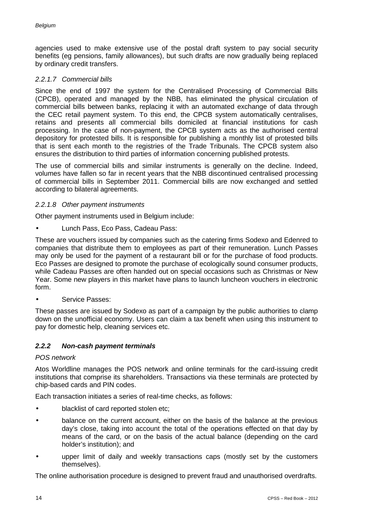agencies used to make extensive use of the postal draft system to pay social security benefits (eg pensions, family allowances), but such drafts are now gradually being replaced by ordinary credit transfers.

## *2.2.1.7 Commercial bills*

Since the end of 1997 the system for the Centralised Processing of Commercial Bills (CPCB), operated and managed by the NBB, has eliminated the physical circulation of commercial bills between banks, replacing it with an automated exchange of data through the CEC retail payment system. To this end, the CPCB system automatically centralises, retains and presents all commercial bills domiciled at financial institutions for cash processing. In the case of non-payment, the CPCB system acts as the authorised central depository for protested bills. It is responsible for publishing a monthly list of protested bills that is sent each month to the registries of the Trade Tribunals. The CPCB system also ensures the distribution to third parties of information concerning published protests.

The use of commercial bills and similar instruments is generally on the decline. Indeed, volumes have fallen so far in recent years that the NBB discontinued centralised processing of commercial bills in September 2011. Commercial bills are now exchanged and settled according to bilateral agreements.

## *2.2.1.8 Other payment instruments*

Other payment instruments used in Belgium include:

Lunch Pass, Eco Pass, Cadeau Pass:

These are vouchers issued by companies such as the catering firms Sodexo and Edenred to companies that distribute them to employees as part of their remuneration. Lunch Passes may only be used for the payment of a restaurant bill or for the purchase of food products. Eco Passes are designed to promote the purchase of ecologically sound consumer products, while Cadeau Passes are often handed out on special occasions such as Christmas or New Year. Some new players in this market have plans to launch luncheon vouchers in electronic form.

### Service Passes:

These passes are issued by Sodexo as part of a campaign by the public authorities to clamp down on the unofficial economy. Users can claim a tax benefit when using this instrument to pay for domestic help, cleaning services etc.

### *2.2.2 Non-cash payment terminals*

### *POS network*

Atos Worldline manages the POS network and online terminals for the card-issuing credit institutions that comprise its shareholders. Transactions via these terminals are protected by chip-based cards and PIN codes.

Each transaction initiates a series of real-time checks, as follows:

- blacklist of card reported stolen etc;
- balance on the current account, either on the basis of the balance at the previous day's close, taking into account the total of the operations effected on that day by means of the card, or on the basis of the actual balance (depending on the card holder's institution); and
- upper limit of daily and weekly transactions caps (mostly set by the customers themselves).

The online authorisation procedure is designed to prevent fraud and unauthorised overdrafts.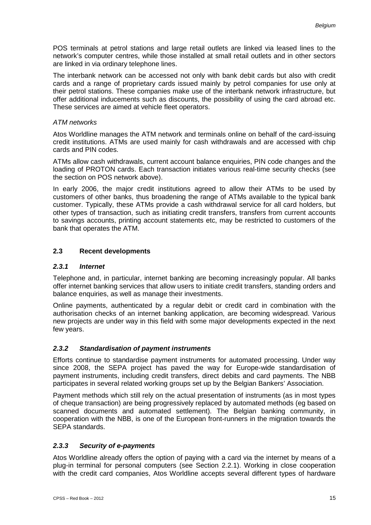POS terminals at petrol stations and large retail outlets are linked via leased lines to the network's computer centres, while those installed at small retail outlets and in other sectors are linked in via ordinary telephone lines.

The interbank network can be accessed not only with bank debit cards but also with credit cards and a range of proprietary cards issued mainly by petrol companies for use only at their petrol stations. These companies make use of the interbank network infrastructure, but offer additional inducements such as discounts, the possibility of using the card abroad etc. These services are aimed at vehicle fleet operators.

## *ATM networks*

Atos Worldline manages the ATM network and terminals online on behalf of the card-issuing credit institutions. ATMs are used mainly for cash withdrawals and are accessed with chip cards and PIN codes.

ATMs allow cash withdrawals, current account balance enquiries, PIN code changes and the loading of PROTON cards. Each transaction initiates various real-time security checks (see the section on POS network above).

In early 2006, the major credit institutions agreed to allow their ATMs to be used by customers of other banks, thus broadening the range of ATMs available to the typical bank customer. Typically, these ATMs provide a cash withdrawal service for all card holders, but other types of transaction, such as initiating credit transfers, transfers from current accounts to savings accounts, printing account statements etc, may be restricted to customers of the bank that operates the ATM.

## **2.3 Recent developments**

### *2.3.1 Internet*

Telephone and, in particular, internet banking are becoming increasingly popular. All banks offer internet banking services that allow users to initiate credit transfers, standing orders and balance enquiries, as well as manage their investments.

Online payments, authenticated by a regular debit or credit card in combination with the authorisation checks of an internet banking application, are becoming widespread. Various new projects are under way in this field with some major developments expected in the next few years.

## *2.3.2 Standardisation of payment instruments*

Efforts continue to standardise payment instruments for automated processing. Under way since 2008, the SEPA project has paved the way for Europe-wide standardisation of payment instruments, including credit transfers, direct debits and card payments. The NBB participates in several related working groups set up by the Belgian Bankers' Association.

Payment methods which still rely on the actual presentation of instruments (as in most types of cheque transaction) are being progressively replaced by automated methods (eg based on scanned documents and automated settlement). The Belgian banking community, in cooperation with the NBB, is one of the European front-runners in the migration towards the SEPA standards.

## *2.3.3 Security of e-payments*

Atos Worldline already offers the option of paying with a card via the internet by means of a plug-in terminal for personal computers (see Section 2.2.1). Working in close cooperation with the credit card companies, Atos Worldline accepts several different types of hardware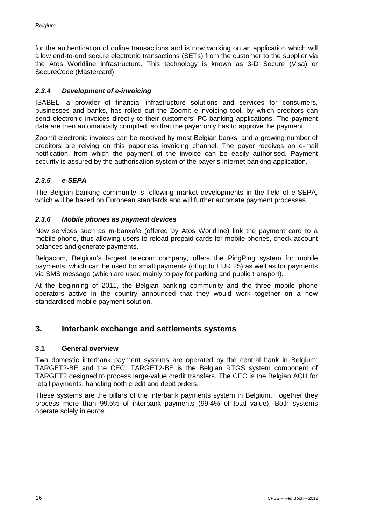for the authentication of online transactions and is now working on an application which will allow end-to-end secure electronic transactions (SETs) from the customer to the supplier via the Atos Worldline infrastructure. This technology is known as 3-D Secure (Visa) or SecureCode (Mastercard).

## *2.3.4 Development of e-invoicing*

ISABEL, a provider of financial infrastructure solutions and services for consumers, businesses and banks, has rolled out the Zoomit e-invoicing tool, by which creditors can send electronic invoices directly to their customers' PC-banking applications. The payment data are then automatically compiled, so that the payer only has to approve the payment.

Zoomit electronic invoices can be received by most Belgian banks, and a growing number of creditors are relying on this paperless invoicing channel. The payer receives an e-mail notification, from which the payment of the invoice can be easily authorised. Payment security is assured by the authorisation system of the payer's internet banking application.

## *2.3.5 e-SEPA*

The Belgian banking community is following market developments in the field of e-SEPA, which will be based on European standards and will further automate payment processes.

### *2.3.6 Mobile phones as payment devices*

New services such as m-banxafe (offered by Atos Worldline) link the payment card to a mobile phone, thus allowing users to reload prepaid cards for mobile phones, check account balances and generate payments.

Belgacom, Belgium's largest telecom company, offers the PingPing system for mobile payments, which can be used for small payments (of up to EUR 25) as well as for payments via SMS message (which are used mainly to pay for parking and public transport).

At the beginning of 2011, the Belgian banking community and the three mobile phone operators active in the country announced that they would work together on a new standardised mobile payment solution.

## **3. Interbank exchange and settlements systems**

### **3.1 General overview**

Two domestic interbank payment systems are operated by the central bank in Belgium: TARGET2-BE and the CEC. TARGET2-BE is the Belgian RTGS system component of TARGET2 designed to process large-value credit transfers. The CEC is the Belgian ACH for retail payments, handling both credit and debit orders.

These systems are the pillars of the interbank payments system in Belgium. Together they process more than 99.5% of interbank payments (99.4% of total value). Both systems operate solely in euros.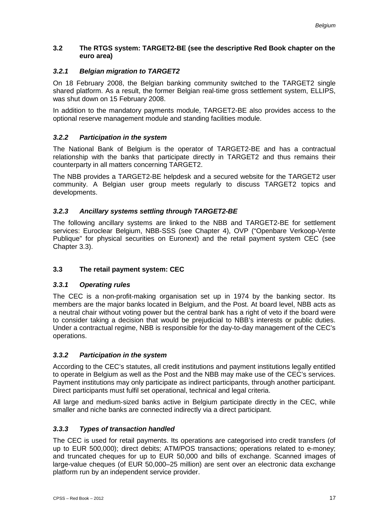## **3.2 The RTGS system: TARGET2-BE (see the descriptive Red Book chapter on the euro area)**

## *3.2.1 Belgian migration to TARGET2*

On 18 February 2008, the Belgian banking community switched to the TARGET2 single shared platform. As a result, the former Belgian real-time gross settlement system, ELLIPS, was shut down on 15 February 2008.

In addition to the mandatory payments module, TARGET2-BE also provides access to the optional reserve management module and standing facilities module.

## *3.2.2 Participation in the system*

The National Bank of Belgium is the operator of TARGET2-BE and has a contractual relationship with the banks that participate directly in TARGET2 and thus remains their counterparty in all matters concerning TARGET2.

The NBB provides a TARGET2-BE helpdesk and a secured website for the TARGET2 user community. A Belgian user group meets regularly to discuss TARGET2 topics and developments.

## *3.2.3 Ancillary systems settling through TARGET2-BE*

The following ancillary systems are linked to the NBB and TARGET2-BE for settlement services: Euroclear Belgium, NBB-SSS (see Chapter 4), OVP ("Openbare Verkoop-Vente Publique" for physical securities on Euronext) and the retail payment system CEC (see Chapter 3.3).

## **3.3 The retail payment system: CEC**

## *3.3.1 Operating rules*

The CEC is a non-profit-making organisation set up in 1974 by the banking sector. Its members are the major banks located in Belgium, and the Post. At board level, NBB acts as a neutral chair without voting power but the central bank has a right of veto if the board were to consider taking a decision that would be prejudicial to NBB's interests or public duties. Under a contractual regime, NBB is responsible for the day-to-day management of the CEC's operations.

## *3.3.2 Participation in the system*

According to the CEC's statutes, all credit institutions and payment institutions legally entitled to operate in Belgium as well as the Post and the NBB may make use of the CEC's services. Payment institutions may only participate as indirect participants, through another participant. Direct participants must fulfil set operational, technical and legal criteria.

All large and medium-sized banks active in Belgium participate directly in the CEC, while smaller and niche banks are connected indirectly via a direct participant.

## *3.3.3 Types of transaction handled*

The CEC is used for retail payments. Its operations are categorised into credit transfers (of up to EUR 500,000); direct debits; ATM/POS transactions; operations related to e-money; and truncated cheques for up to EUR 50,000 and bills of exchange. Scanned images of large-value cheques (of EUR 50,000–25 million) are sent over an electronic data exchange platform run by an independent service provider.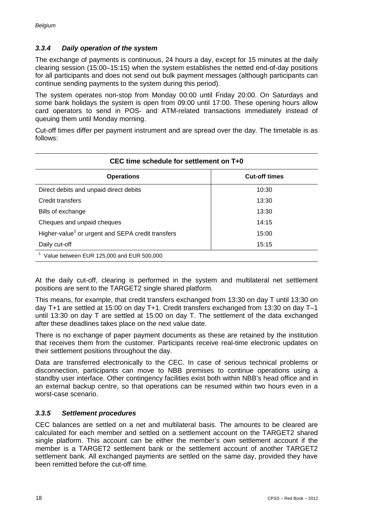## *3.3.4 Daily operation of the system*

The exchange of payments is continuous, 24 hours a day, except for 15 minutes at the daily clearing session (15:00–15:15) when the system establishes the netted end-of-day positions for all participants and does not send out bulk payment messages (although participants can continue sending payments to the system during this period).

The system operates non-stop from Monday 00:00 until Friday 20:00. On Saturdays and some bank holidays the system is open from 09:00 until 17:00. These opening hours allow card operators to send in POS- and ATM-related transactions immediately instead of queuing them until Monday morning.

Cut-off times differ per payment instrument and are spread over the day. The timetable is as follows:

| CEC time schedule for settlement on T+0                       |                      |  |  |  |
|---------------------------------------------------------------|----------------------|--|--|--|
| <b>Operations</b>                                             | <b>Cut-off times</b> |  |  |  |
| Direct debits and unpaid direct debits                        | 10:30                |  |  |  |
| Credit transfers                                              | 13:30                |  |  |  |
| Bills of exchange                                             | 13:30                |  |  |  |
| Cheques and unpaid cheques                                    | 14:15                |  |  |  |
| Higher-value <sup>1</sup> or urgent and SEPA credit transfers | 15:00                |  |  |  |
| Daily cut-off                                                 | 15:15                |  |  |  |
| Value between EUR 125,000 and EUR 500,000                     |                      |  |  |  |

At the daily cut-off, clearing is performed in the system and multilateral net settlement positions are sent to the TARGET2 single shared platform.

This means, for example, that credit transfers exchanged from 13:30 on day T until 13:30 on day T+1 are settled at 15:00 on day T+1. Credit transfers exchanged from 13:30 on day T–1 until 13:30 on day T are settled at 15:00 on day T. The settlement of the data exchanged after these deadlines takes place on the next value date.

There is no exchange of paper payment documents as these are retained by the institution that receives them from the customer. Participants receive real-time electronic updates on their settlement positions throughout the day.

Data are transferred electronically to the CEC. In case of serious technical problems or disconnection, participants can move to NBB premises to continue operations using a standby user interface. Other contingency facilities exist both within NBB's head office and in an external backup centre, so that operations can be resumed within two hours even in a worst-case scenario.

### *3.3.5 Settlement procedures*

CEC balances are settled on a net and multilateral basis. The amounts to be cleared are calculated for each member and settled on a settlement account on the TARGET2 shared single platform. This account can be either the member's own settlement account if the member is a TARGET2 settlement bank or the settlement account of another TARGET2 settlement bank. All exchanged payments are settled on the same day, provided they have been remitted before the cut-off time.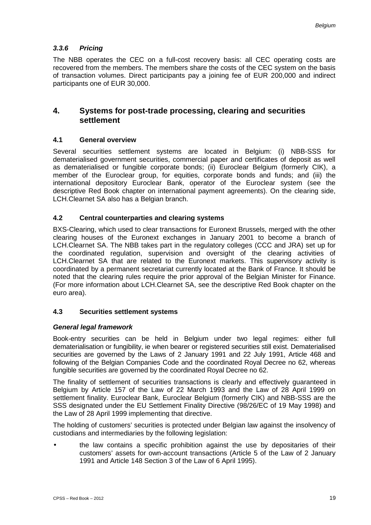## *3.3.6 Pricing*

The NBB operates the CEC on a full-cost recovery basis: all CEC operating costs are recovered from the members. The members share the costs of the CEC system on the basis of transaction volumes. Direct participants pay a joining fee of EUR 200,000 and indirect participants one of EUR 30,000.

## **4. Systems for post-trade processing, clearing and securities settlement**

### **4.1 General overview**

Several securities settlement systems are located in Belgium: (i) NBB-SSS for dematerialised government securities, commercial paper and certificates of deposit as well as dematerialised or fungible corporate bonds; (ii) Euroclear Belgium (formerly CIK), a member of the Euroclear group, for equities, corporate bonds and funds; and (iii) the international depository Euroclear Bank, operator of the Euroclear system (see the descriptive Red Book chapter on international payment agreements). On the clearing side, LCH.Clearnet SA also has a Belgian branch.

## **4.2 Central counterparties and clearing systems**

BXS-Clearing, which used to clear transactions for Euronext Brussels, merged with the other clearing houses of the Euronext exchanges in January 2001 to become a branch of LCH.Clearnet SA. The NBB takes part in the regulatory colleges (CCC and JRA) set up for the coordinated regulation, supervision and oversight of the clearing activities of LCH.Clearnet SA that are related to the Euronext markets. This supervisory activity is coordinated by a permanent secretariat currently located at the Bank of France. It should be noted that the clearing rules require the prior approval of the Belgian Minister for Finance. (For more information about LCH.Clearnet SA, see the descriptive Red Book chapter on the euro area).

## **4.3 Securities settlement systems**

### *General legal framework*

Book-entry securities can be held in Belgium under two legal regimes: either full dematerialisation or fungibility, ie when bearer or registered securities still exist. Dematerialised securities are governed by the Laws of 2 January 1991 and 22 July 1991, Article 468 and following of the Belgian Companies Code and the coordinated Royal Decree no 62, whereas fungible securities are governed by the coordinated Royal Decree no 62.

The finality of settlement of securities transactions is clearly and effectively guaranteed in Belgium by Article 157 of the Law of 22 March 1993 and the Law of 28 April 1999 on settlement finality. Euroclear Bank, Euroclear Belgium (formerly CIK) and NBB-SSS are the SSS designated under the EU Settlement Finality Directive (98/26/EC of 19 May 1998) and the Law of 28 April 1999 implementing that directive.

The holding of customers' securities is protected under Belgian law against the insolvency of custodians and intermediaries by the following legislation:

the law contains a specific prohibition against the use by depositaries of their customers' assets for own-account transactions (Article 5 of the Law of 2 January 1991 and Article 148 Section 3 of the Law of 6 April 1995).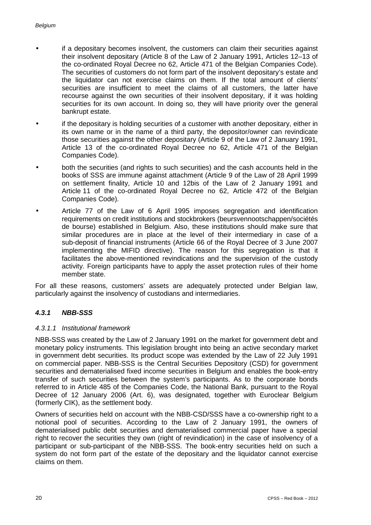- if a depositary becomes insolvent, the customers can claim their securities against their insolvent depositary (Article 8 of the Law of 2 January 1991, Articles 12–13 of the co-ordinated Royal Decree no 62, Article 471 of the Belgian Companies Code). The securities of customers do not form part of the insolvent depositary's estate and the liquidator can not exercise claims on them. If the total amount of clients' securities are insufficient to meet the claims of all customers, the latter have recourse against the own securities of their insolvent depositary, if it was holding securities for its own account. In doing so, they will have priority over the general bankrupt estate.
- if the depositary is holding securities of a customer with another depositary, either in its own name or in the name of a third party, the depositor/owner can revindicate those securities against the other depositary (Article 9 of the Law of 2 January 1991, Article 13 of the co-ordinated Royal Decree no 62, Article 471 of the Belgian Companies Code).
- both the securities (and rights to such securities) and the cash accounts held in the books of SSS are immune against attachment (Article 9 of the Law of 28 April 1999 on settlement finality, Article 10 and 12bis of the Law of 2 January 1991 and Article 11 of the co-ordinated Royal Decree no 62, Article 472 of the Belgian Companies Code).
- Article 77 of the Law of 6 April 1995 imposes segregation and identification requirements on credit institutions and stockbrokers (beursvennootschappen/sociétés de bourse) established in Belgium. Also, these institutions should make sure that similar procedures are in place at the level of their intermediary in case of a sub-deposit of financial instruments (Article 66 of the Royal Decree of 3 June 2007 implementing the MIFID directive). The reason for this segregation is that it facilitates the above-mentioned revindications and the supervision of the custody activity. Foreign participants have to apply the asset protection rules of their home member state.

For all these reasons, customers' assets are adequately protected under Belgian law, particularly against the insolvency of custodians and intermediaries.

### *4.3.1 NBB-SSS*

#### *4.3.1.1 Institutional framework*

NBB-SSS was created by the Law of 2 January 1991 on the market for government debt and monetary policy instruments. This legislation brought into being an active secondary market in government debt securities. Its product scope was extended by the Law of 22 July 1991 on commercial paper. NBB-SSS is the Central Securities Depository (CSD) for government securities and dematerialised fixed income securities in Belgium and enables the book-entry transfer of such securities between the system's participants. As to the corporate bonds referred to in Article 485 of the Companies Code, the National Bank, pursuant to the Royal Decree of 12 January 2006 (Art. 6), was designated, together with Euroclear Belgium (formerly CIK), as the settlement body.

Owners of securities held on account with the NBB-CSD/SSS have a co-ownership right to a notional pool of securities. According to the Law of 2 January 1991, the owners of dematerialised public debt securities and dematerialised commercial paper have a special right to recover the securities they own (right of revindication) in the case of insolvency of a participant or sub-participant of the NBB-SSS. The book-entry securities held on such a system do not form part of the estate of the depositary and the liquidator cannot exercise claims on them.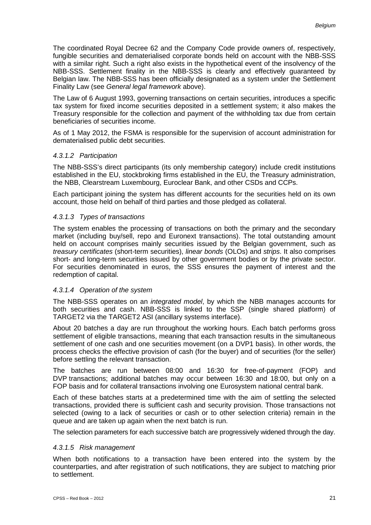The coordinated Royal Decree 62 and the Company Code provide owners of, respectively, fungible securities and dematerialised corporate bonds held on account with the NBB-SSS with a similar right. Such a right also exists in the hypothetical event of the insolvency of the NBB-SSS. Settlement finality in the NBB-SSS is clearly and effectively guaranteed by Belgian law. The NBB-SSS has been officially designated as a system under the Settlement Finality Law (see *General legal framework* above).

The Law of 6 August 1993, governing transactions on certain securities, introduces a specific tax system for fixed income securities deposited in a settlement system; it also makes the Treasury responsible for the collection and payment of the withholding tax due from certain beneficiaries of securities income.

As of 1 May 2012, the FSMA is responsible for the supervision of account administration for dematerialised public debt securities.

#### *4.3.1.2 Participation*

The NBB-SSS's direct participants (its only membership category) include credit institutions established in the EU, stockbroking firms established in the EU, the Treasury administration, the NBB, Clearstream Luxembourg, Euroclear Bank, and other CSDs and CCPs.

Each participant joining the system has different accounts for the securities held on its own account, those held on behalf of third parties and those pledged as collateral.

#### *4.3.1.3 Types of transactions*

The system enables the processing of transactions on both the primary and the secondary market (including buy/sell, repo and Euronext transactions). The total outstanding amount held on account comprises mainly securities issued by the Belgian government, such as *treasury certificates* (short-term securities), *linear bonds* (OLOs) and *strips*. It also comprises short- and long-term securities issued by other government bodies or by the private sector. For securities denominated in euros, the SSS ensures the payment of interest and the redemption of capital.

#### *4.3.1.4 Operation of the system*

The NBB-SSS operates on an *integrated model*, by which the NBB manages accounts for both securities and cash. NBB-SSS is linked to the SSP (single shared platform) of TARGET2 via the TARGET2 ASI (ancillary systems interface).

About 20 batches a day are run throughout the working hours. Each batch performs gross settlement of eligible transactions, meaning that each transaction results in the simultaneous settlement of one cash and one securities movement (on a DVP1 basis). In other words, the process checks the effective provision of cash (for the buyer) and of securities (for the seller) before settling the relevant transaction.

The batches are run between 08:00 and 16:30 for free-of-payment (FOP) and DVP transactions; additional batches may occur between 16:30 and 18:00, but only on a FOP basis and for collateral transactions involving one Eurosystem national central bank.

Each of these batches starts at a predetermined time with the aim of settling the selected transactions, provided there is sufficient cash and security provision. Those transactions not selected (owing to a lack of securities or cash or to other selection criteria) remain in the queue and are taken up again when the next batch is run.

The selection parameters for each successive batch are progressively widened through the day.

#### *4.3.1.5 Risk management*

When both notifications to a transaction have been entered into the system by the counterparties, and after registration of such notifications, they are subject to matching prior to settlement.